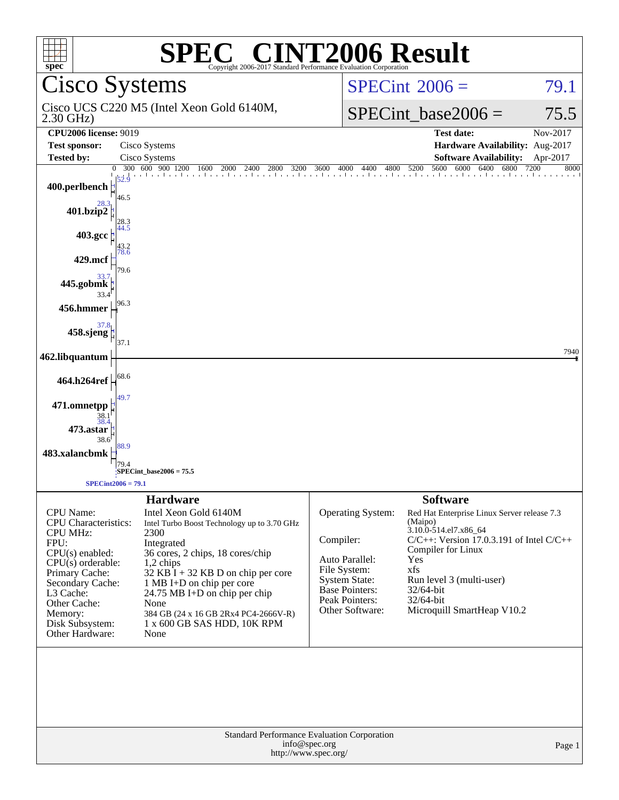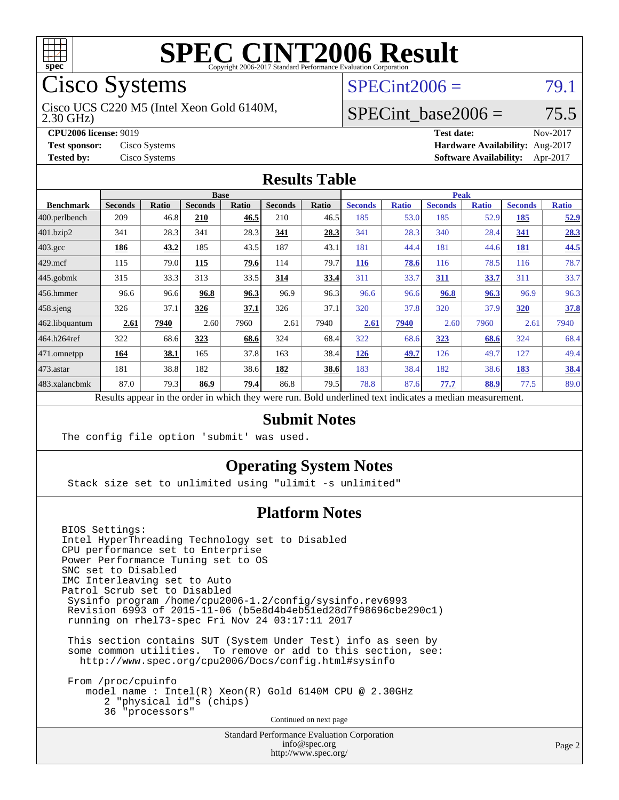

# Cisco Systems

2.30 GHz) Cisco UCS C220 M5 (Intel Xeon Gold 6140M,

 $SPECint2006 = 79.1$  $SPECint2006 = 79.1$ 

### SPECint base2006 =  $75.5$

**[CPU2006 license:](http://www.spec.org/auto/cpu2006/Docs/result-fields.html#CPU2006license)** 9019 **[Test date:](http://www.spec.org/auto/cpu2006/Docs/result-fields.html#Testdate)** Nov-2017 **[Test sponsor:](http://www.spec.org/auto/cpu2006/Docs/result-fields.html#Testsponsor)** Cisco Systems **[Hardware Availability:](http://www.spec.org/auto/cpu2006/Docs/result-fields.html#HardwareAvailability)** Aug-2017 **[Tested by:](http://www.spec.org/auto/cpu2006/Docs/result-fields.html#Testedby)** Cisco Systems **[Software Availability:](http://www.spec.org/auto/cpu2006/Docs/result-fields.html#SoftwareAvailability)** Apr-2017

#### **[Results Table](http://www.spec.org/auto/cpu2006/Docs/result-fields.html#ResultsTable)**

|                                                                                                          | <b>Base</b>    |       |                |       |                |       | <b>Peak</b>    |              |                |              |                |              |
|----------------------------------------------------------------------------------------------------------|----------------|-------|----------------|-------|----------------|-------|----------------|--------------|----------------|--------------|----------------|--------------|
| <b>Benchmark</b>                                                                                         | <b>Seconds</b> | Ratio | <b>Seconds</b> | Ratio | <b>Seconds</b> | Ratio | <b>Seconds</b> | <b>Ratio</b> | <b>Seconds</b> | <b>Ratio</b> | <b>Seconds</b> | <b>Ratio</b> |
| 400.perlbench                                                                                            | 209            | 46.8  | 210            | 46.5  | 210            | 46.5  | 185            | 53.0         | 185            | 52.9         | 185            | <u>52.9</u>  |
| 401.bzip2                                                                                                | 341            | 28.3  | 341            | 28.3  | 341            | 28.3  | 341            | 28.3         | 340            | 28.4         | 341            | 28.3         |
| $403.\mathrm{gcc}$                                                                                       | 186            | 43.2  | 185            | 43.5  | 187            | 43.1  | 181            | 44.4         | 181            | 44.6         | 181            | 44.5         |
| $429$ .mcf                                                                                               | 115            | 79.0  | 115            | 79.6  | 114            | 79.7  | <b>116</b>     | 78.6         | 116            | 78.5         | 116            | 78.7         |
| $ 445.\text{gobmk} $                                                                                     | 315            | 33.3  | 313            | 33.5  | 314            | 33.4  | 311            | 33.7         | 311            | 33.7         | 311            | 33.7         |
| $456.$ hmmer                                                                                             | 96.6           | 96.6  | 96.8           | 96.3  | 96.9           | 96.3  | 96.6           | 96.6         | 96.8           | 96.3         | 96.9           | 96.3         |
| $458$ .sjeng                                                                                             | 326            | 37.1  | 326            | 37.1  | 326            | 37.1  | 320            | 37.8         | 320            | 37.9         | 320            | 37.8         |
| 462.libquantum                                                                                           | 2.61           | 7940  | 2.60           | 7960  | 2.61           | 7940  | 2.61           | 7940         | 2.60           | 7960         | 2.61           | 7940         |
| 464.h264ref                                                                                              | 322            | 68.6  | 323            | 68.6  | 324            | 68.4  | 322            | 68.6         | 323            | 68.6         | 324            | 68.4         |
| 471.omnetpp                                                                                              | 164            | 38.1  | 165            | 37.8  | 163            | 38.4  | 126            | 49.7         | 126            | 49.7         | 127            | 49.4         |
| $473$ . astar                                                                                            | 181            | 38.8  | 182            | 38.6  | 182            | 38.6  | 183            | 38.4         | 182            | 38.6         | 183            | 38.4         |
| 483.xalancbmk                                                                                            | 87.0           | 79.3  | 86.9           | 79.4  | 86.8           | 79.5  | 78.8           | 87.6         | 77.7           | 88.9         | 77.5           | 89.0         |
| Results appear in the order in which they were run. Bold underlined text indicates a median measurement. |                |       |                |       |                |       |                |              |                |              |                |              |

#### **[Submit Notes](http://www.spec.org/auto/cpu2006/Docs/result-fields.html#SubmitNotes)**

The config file option 'submit' was used.

#### **[Operating System Notes](http://www.spec.org/auto/cpu2006/Docs/result-fields.html#OperatingSystemNotes)**

Stack size set to unlimited using "ulimit -s unlimited"

#### **[Platform Notes](http://www.spec.org/auto/cpu2006/Docs/result-fields.html#PlatformNotes)**

BIOS Settings: Intel HyperThreading Technology set to Disabled CPU performance set to Enterprise Power Performance Tuning set to OS SNC set to Disabled IMC Interleaving set to Auto Patrol Scrub set to Disabled Sysinfo program /home/cpu2006-1.2/config/sysinfo.rev6993 Revision 6993 of 2015-11-06 (b5e8d4b4eb51ed28d7f98696cbe290c1) running on rhel73-spec Fri Nov 24 03:17:11 2017

 This section contains SUT (System Under Test) info as seen by some common utilities. To remove or add to this section, see: <http://www.spec.org/cpu2006/Docs/config.html#sysinfo>

 From /proc/cpuinfo model name : Intel(R) Xeon(R) Gold 6140M CPU @ 2.30GHz 2 "physical id"s (chips) 36 "processors" Continued on next page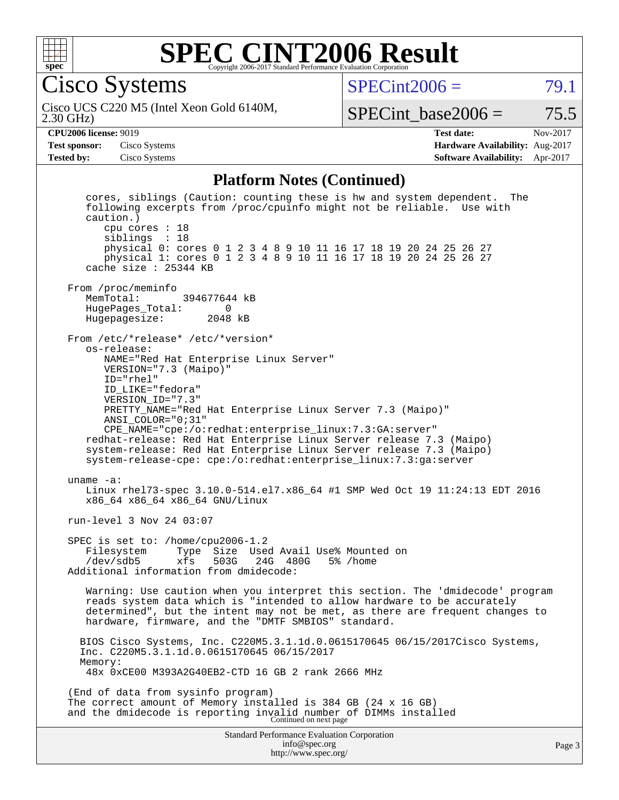

Cisco Systems

 $SPECint2006 = 79.1$  $SPECint2006 = 79.1$ 

2.30 GHz) Cisco UCS C220 M5 (Intel Xeon Gold 6140M,

SPECint base2006 =  $75.5$ 

**[CPU2006 license:](http://www.spec.org/auto/cpu2006/Docs/result-fields.html#CPU2006license)** 9019 **[Test date:](http://www.spec.org/auto/cpu2006/Docs/result-fields.html#Testdate)** Nov-2017 **[Test sponsor:](http://www.spec.org/auto/cpu2006/Docs/result-fields.html#Testsponsor)** Cisco Systems **[Hardware Availability:](http://www.spec.org/auto/cpu2006/Docs/result-fields.html#HardwareAvailability)** Aug-2017 **[Tested by:](http://www.spec.org/auto/cpu2006/Docs/result-fields.html#Testedby)** Cisco Systems **[Software Availability:](http://www.spec.org/auto/cpu2006/Docs/result-fields.html#SoftwareAvailability)** Apr-2017

#### **[Platform Notes \(Continued\)](http://www.spec.org/auto/cpu2006/Docs/result-fields.html#PlatformNotes)**

Standard Performance Evaluation Corporation [info@spec.org](mailto:info@spec.org) <http://www.spec.org/> Page 3 cores, siblings (Caution: counting these is hw and system dependent. The following excerpts from /proc/cpuinfo might not be reliable. Use with caution.) cpu cores : 18 siblings : 18 physical 0: cores 0 1 2 3 4 8 9 10 11 16 17 18 19 20 24 25 26 27 physical 1: cores 0 1 2 3 4 8 9 10 11 16 17 18 19 20 24 25 26 27 cache size : 25344 KB From /proc/meminfo<br>MemTotal: 394677644 kB HugePages\_Total: 0 Hugepagesize: 2048 kB From /etc/\*release\* /etc/\*version\* os-release: NAME="Red Hat Enterprise Linux Server" VERSION="7.3 (Maipo)" ID="rhel" ID\_LIKE="fedora" VERSION\_ID="7.3" PRETTY\_NAME="Red Hat Enterprise Linux Server 7.3 (Maipo)" ANSI\_COLOR="0;31" CPE\_NAME="cpe:/o:redhat:enterprise\_linux:7.3:GA:server" redhat-release: Red Hat Enterprise Linux Server release 7.3 (Maipo) system-release: Red Hat Enterprise Linux Server release 7.3 (Maipo) system-release-cpe: cpe:/o:redhat:enterprise\_linux:7.3:ga:server uname -a: Linux rhel73-spec 3.10.0-514.el7.x86\_64 #1 SMP Wed Oct 19 11:24:13 EDT 2016 x86\_64 x86\_64 x86\_64 GNU/Linux run-level 3 Nov 24 03:07 SPEC is set to: /home/cpu2006-1.2 Filesystem Type Size Used Avail Use% Mounted on<br>/dev/sdb5 xfs 503G 24G 480G 5% /home /dev/sdb5 xfs 503G 24G 480G 5% /home Additional information from dmidecode: Warning: Use caution when you interpret this section. The 'dmidecode' program reads system data which is "intended to allow hardware to be accurately determined", but the intent may not be met, as there are frequent changes to hardware, firmware, and the "DMTF SMBIOS" standard. BIOS Cisco Systems, Inc. C220M5.3.1.1d.0.0615170645 06/15/2017Cisco Systems, Inc. C220M5.3.1.1d.0.0615170645 06/15/2017 Memory: 48x 0xCE00 M393A2G40EB2-CTD 16 GB 2 rank 2666 MHz (End of data from sysinfo program) The correct amount of Memory installed is 384 GB (24 x 16 GB) and the dmidecode is reporting invalid number of DIMMs installed Continued on next page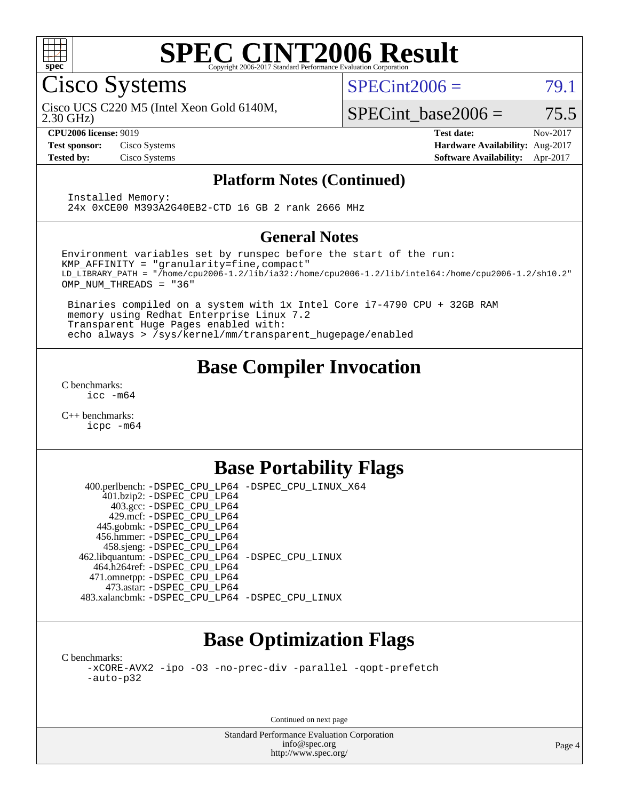

Cisco Systems

 $SPECint2006 = 79.1$  $SPECint2006 = 79.1$ 

2.30 GHz) Cisco UCS C220 M5 (Intel Xeon Gold 6140M,

SPECint base2006 =  $75.5$ 

**[CPU2006 license:](http://www.spec.org/auto/cpu2006/Docs/result-fields.html#CPU2006license)** 9019 **[Test date:](http://www.spec.org/auto/cpu2006/Docs/result-fields.html#Testdate)** Nov-2017 **[Test sponsor:](http://www.spec.org/auto/cpu2006/Docs/result-fields.html#Testsponsor)** Cisco Systems **[Hardware Availability:](http://www.spec.org/auto/cpu2006/Docs/result-fields.html#HardwareAvailability)** Aug-2017 **[Tested by:](http://www.spec.org/auto/cpu2006/Docs/result-fields.html#Testedby)** Cisco Systems **[Software Availability:](http://www.spec.org/auto/cpu2006/Docs/result-fields.html#SoftwareAvailability)** Apr-2017

#### **[Platform Notes \(Continued\)](http://www.spec.org/auto/cpu2006/Docs/result-fields.html#PlatformNotes)**

 Installed Memory: 24x 0xCE00 M393A2G40EB2-CTD 16 GB 2 rank 2666 MHz

#### **[General Notes](http://www.spec.org/auto/cpu2006/Docs/result-fields.html#GeneralNotes)**

Environment variables set by runspec before the start of the run: KMP\_AFFINITY = "granularity=fine,compact" LD\_LIBRARY\_PATH = "/home/cpu2006-1.2/lib/ia32:/home/cpu2006-1.2/lib/intel64:/home/cpu2006-1.2/sh10.2" OMP\_NUM\_THREADS = "36"

 Binaries compiled on a system with 1x Intel Core i7-4790 CPU + 32GB RAM memory using Redhat Enterprise Linux 7.2 Transparent Huge Pages enabled with: echo always > /sys/kernel/mm/transparent\_hugepage/enabled

## **[Base Compiler Invocation](http://www.spec.org/auto/cpu2006/Docs/result-fields.html#BaseCompilerInvocation)**

[C benchmarks](http://www.spec.org/auto/cpu2006/Docs/result-fields.html#Cbenchmarks): [icc -m64](http://www.spec.org/cpu2006/results/res2017q4/cpu2006-20171128-50903.flags.html#user_CCbase_intel_icc_64bit_bda6cc9af1fdbb0edc3795bac97ada53)

[C++ benchmarks:](http://www.spec.org/auto/cpu2006/Docs/result-fields.html#CXXbenchmarks) [icpc -m64](http://www.spec.org/cpu2006/results/res2017q4/cpu2006-20171128-50903.flags.html#user_CXXbase_intel_icpc_64bit_fc66a5337ce925472a5c54ad6a0de310)

## **[Base Portability Flags](http://www.spec.org/auto/cpu2006/Docs/result-fields.html#BasePortabilityFlags)**

 400.perlbench: [-DSPEC\\_CPU\\_LP64](http://www.spec.org/cpu2006/results/res2017q4/cpu2006-20171128-50903.flags.html#b400.perlbench_basePORTABILITY_DSPEC_CPU_LP64) [-DSPEC\\_CPU\\_LINUX\\_X64](http://www.spec.org/cpu2006/results/res2017q4/cpu2006-20171128-50903.flags.html#b400.perlbench_baseCPORTABILITY_DSPEC_CPU_LINUX_X64) 401.bzip2: [-DSPEC\\_CPU\\_LP64](http://www.spec.org/cpu2006/results/res2017q4/cpu2006-20171128-50903.flags.html#suite_basePORTABILITY401_bzip2_DSPEC_CPU_LP64) 403.gcc: [-DSPEC\\_CPU\\_LP64](http://www.spec.org/cpu2006/results/res2017q4/cpu2006-20171128-50903.flags.html#suite_basePORTABILITY403_gcc_DSPEC_CPU_LP64) 429.mcf: [-DSPEC\\_CPU\\_LP64](http://www.spec.org/cpu2006/results/res2017q4/cpu2006-20171128-50903.flags.html#suite_basePORTABILITY429_mcf_DSPEC_CPU_LP64) 445.gobmk: [-DSPEC\\_CPU\\_LP64](http://www.spec.org/cpu2006/results/res2017q4/cpu2006-20171128-50903.flags.html#suite_basePORTABILITY445_gobmk_DSPEC_CPU_LP64) 456.hmmer: [-DSPEC\\_CPU\\_LP64](http://www.spec.org/cpu2006/results/res2017q4/cpu2006-20171128-50903.flags.html#suite_basePORTABILITY456_hmmer_DSPEC_CPU_LP64) 458.sjeng: [-DSPEC\\_CPU\\_LP64](http://www.spec.org/cpu2006/results/res2017q4/cpu2006-20171128-50903.flags.html#suite_basePORTABILITY458_sjeng_DSPEC_CPU_LP64) 462.libquantum: [-DSPEC\\_CPU\\_LP64](http://www.spec.org/cpu2006/results/res2017q4/cpu2006-20171128-50903.flags.html#suite_basePORTABILITY462_libquantum_DSPEC_CPU_LP64) [-DSPEC\\_CPU\\_LINUX](http://www.spec.org/cpu2006/results/res2017q4/cpu2006-20171128-50903.flags.html#b462.libquantum_baseCPORTABILITY_DSPEC_CPU_LINUX) 464.h264ref: [-DSPEC\\_CPU\\_LP64](http://www.spec.org/cpu2006/results/res2017q4/cpu2006-20171128-50903.flags.html#suite_basePORTABILITY464_h264ref_DSPEC_CPU_LP64) 471.omnetpp: [-DSPEC\\_CPU\\_LP64](http://www.spec.org/cpu2006/results/res2017q4/cpu2006-20171128-50903.flags.html#suite_basePORTABILITY471_omnetpp_DSPEC_CPU_LP64) 473.astar: [-DSPEC\\_CPU\\_LP64](http://www.spec.org/cpu2006/results/res2017q4/cpu2006-20171128-50903.flags.html#suite_basePORTABILITY473_astar_DSPEC_CPU_LP64) 483.xalancbmk: [-DSPEC\\_CPU\\_LP64](http://www.spec.org/cpu2006/results/res2017q4/cpu2006-20171128-50903.flags.html#suite_basePORTABILITY483_xalancbmk_DSPEC_CPU_LP64) [-DSPEC\\_CPU\\_LINUX](http://www.spec.org/cpu2006/results/res2017q4/cpu2006-20171128-50903.flags.html#b483.xalancbmk_baseCXXPORTABILITY_DSPEC_CPU_LINUX)

## **[Base Optimization Flags](http://www.spec.org/auto/cpu2006/Docs/result-fields.html#BaseOptimizationFlags)**

[C benchmarks](http://www.spec.org/auto/cpu2006/Docs/result-fields.html#Cbenchmarks): [-xCORE-AVX2](http://www.spec.org/cpu2006/results/res2017q4/cpu2006-20171128-50903.flags.html#user_CCbase_f-xCORE-AVX2) [-ipo](http://www.spec.org/cpu2006/results/res2017q4/cpu2006-20171128-50903.flags.html#user_CCbase_f-ipo) [-O3](http://www.spec.org/cpu2006/results/res2017q4/cpu2006-20171128-50903.flags.html#user_CCbase_f-O3) [-no-prec-div](http://www.spec.org/cpu2006/results/res2017q4/cpu2006-20171128-50903.flags.html#user_CCbase_f-no-prec-div) [-parallel](http://www.spec.org/cpu2006/results/res2017q4/cpu2006-20171128-50903.flags.html#user_CCbase_f-parallel) [-qopt-prefetch](http://www.spec.org/cpu2006/results/res2017q4/cpu2006-20171128-50903.flags.html#user_CCbase_f-qopt-prefetch) [-auto-p32](http://www.spec.org/cpu2006/results/res2017q4/cpu2006-20171128-50903.flags.html#user_CCbase_f-auto-p32)

Continued on next page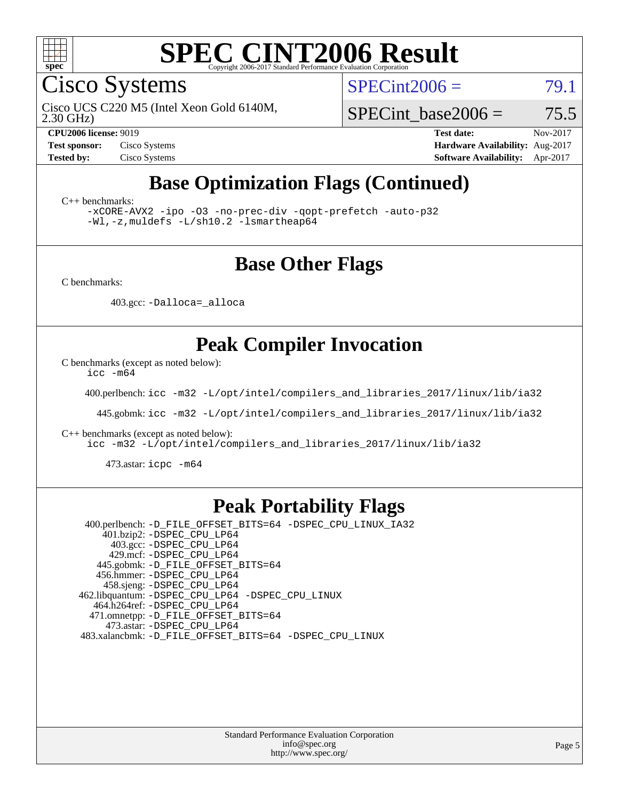

Cisco Systems

 $SPECint2006 = 79.1$  $SPECint2006 = 79.1$ 

Cisco UCS C220 M5 (Intel Xeon Gold 6140M,

2.30 GHz)

SPECint base2006 =  $75.5$ 

**[CPU2006 license:](http://www.spec.org/auto/cpu2006/Docs/result-fields.html#CPU2006license)** 9019 **[Test date:](http://www.spec.org/auto/cpu2006/Docs/result-fields.html#Testdate)** Nov-2017 **[Test sponsor:](http://www.spec.org/auto/cpu2006/Docs/result-fields.html#Testsponsor)** Cisco Systems **[Hardware Availability:](http://www.spec.org/auto/cpu2006/Docs/result-fields.html#HardwareAvailability)** Aug-2017 **[Tested by:](http://www.spec.org/auto/cpu2006/Docs/result-fields.html#Testedby)** Cisco Systems **[Software Availability:](http://www.spec.org/auto/cpu2006/Docs/result-fields.html#SoftwareAvailability)** Apr-2017

# **[Base Optimization Flags \(Continued\)](http://www.spec.org/auto/cpu2006/Docs/result-fields.html#BaseOptimizationFlags)**

[C++ benchmarks:](http://www.spec.org/auto/cpu2006/Docs/result-fields.html#CXXbenchmarks)

[-xCORE-AVX2](http://www.spec.org/cpu2006/results/res2017q4/cpu2006-20171128-50903.flags.html#user_CXXbase_f-xCORE-AVX2) [-ipo](http://www.spec.org/cpu2006/results/res2017q4/cpu2006-20171128-50903.flags.html#user_CXXbase_f-ipo) [-O3](http://www.spec.org/cpu2006/results/res2017q4/cpu2006-20171128-50903.flags.html#user_CXXbase_f-O3) [-no-prec-div](http://www.spec.org/cpu2006/results/res2017q4/cpu2006-20171128-50903.flags.html#user_CXXbase_f-no-prec-div) [-qopt-prefetch](http://www.spec.org/cpu2006/results/res2017q4/cpu2006-20171128-50903.flags.html#user_CXXbase_f-qopt-prefetch) [-auto-p32](http://www.spec.org/cpu2006/results/res2017q4/cpu2006-20171128-50903.flags.html#user_CXXbase_f-auto-p32) [-Wl,-z,muldefs](http://www.spec.org/cpu2006/results/res2017q4/cpu2006-20171128-50903.flags.html#user_CXXbase_link_force_multiple1_74079c344b956b9658436fd1b6dd3a8a) [-L/sh10.2 -lsmartheap64](http://www.spec.org/cpu2006/results/res2017q4/cpu2006-20171128-50903.flags.html#user_CXXbase_SmartHeap64_63911d860fc08c15fa1d5bf319b9d8d5)

### **[Base Other Flags](http://www.spec.org/auto/cpu2006/Docs/result-fields.html#BaseOtherFlags)**

[C benchmarks](http://www.spec.org/auto/cpu2006/Docs/result-fields.html#Cbenchmarks):

403.gcc: [-Dalloca=\\_alloca](http://www.spec.org/cpu2006/results/res2017q4/cpu2006-20171128-50903.flags.html#b403.gcc_baseEXTRA_CFLAGS_Dalloca_be3056838c12de2578596ca5467af7f3)

## **[Peak Compiler Invocation](http://www.spec.org/auto/cpu2006/Docs/result-fields.html#PeakCompilerInvocation)**

[C benchmarks \(except as noted below\)](http://www.spec.org/auto/cpu2006/Docs/result-fields.html#Cbenchmarksexceptasnotedbelow):

[icc -m64](http://www.spec.org/cpu2006/results/res2017q4/cpu2006-20171128-50903.flags.html#user_CCpeak_intel_icc_64bit_bda6cc9af1fdbb0edc3795bac97ada53)

400.perlbench: [icc -m32 -L/opt/intel/compilers\\_and\\_libraries\\_2017/linux/lib/ia32](http://www.spec.org/cpu2006/results/res2017q4/cpu2006-20171128-50903.flags.html#user_peakCCLD400_perlbench_intel_icc_c29f3ff5a7ed067b11e4ec10a03f03ae)

445.gobmk: [icc -m32 -L/opt/intel/compilers\\_and\\_libraries\\_2017/linux/lib/ia32](http://www.spec.org/cpu2006/results/res2017q4/cpu2006-20171128-50903.flags.html#user_peakCCLD445_gobmk_intel_icc_c29f3ff5a7ed067b11e4ec10a03f03ae)

[C++ benchmarks \(except as noted below\):](http://www.spec.org/auto/cpu2006/Docs/result-fields.html#CXXbenchmarksexceptasnotedbelow)

[icc -m32 -L/opt/intel/compilers\\_and\\_libraries\\_2017/linux/lib/ia32](http://www.spec.org/cpu2006/results/res2017q4/cpu2006-20171128-50903.flags.html#user_CXXpeak_intel_icc_c29f3ff5a7ed067b11e4ec10a03f03ae)

473.astar: [icpc -m64](http://www.spec.org/cpu2006/results/res2017q4/cpu2006-20171128-50903.flags.html#user_peakCXXLD473_astar_intel_icpc_64bit_fc66a5337ce925472a5c54ad6a0de310)

### **[Peak Portability Flags](http://www.spec.org/auto/cpu2006/Docs/result-fields.html#PeakPortabilityFlags)**

 400.perlbench: [-D\\_FILE\\_OFFSET\\_BITS=64](http://www.spec.org/cpu2006/results/res2017q4/cpu2006-20171128-50903.flags.html#user_peakPORTABILITY400_perlbench_file_offset_bits_64_438cf9856305ebd76870a2c6dc2689ab) [-DSPEC\\_CPU\\_LINUX\\_IA32](http://www.spec.org/cpu2006/results/res2017q4/cpu2006-20171128-50903.flags.html#b400.perlbench_peakCPORTABILITY_DSPEC_CPU_LINUX_IA32) 401.bzip2: [-DSPEC\\_CPU\\_LP64](http://www.spec.org/cpu2006/results/res2017q4/cpu2006-20171128-50903.flags.html#suite_peakPORTABILITY401_bzip2_DSPEC_CPU_LP64) 403.gcc: [-DSPEC\\_CPU\\_LP64](http://www.spec.org/cpu2006/results/res2017q4/cpu2006-20171128-50903.flags.html#suite_peakPORTABILITY403_gcc_DSPEC_CPU_LP64) 429.mcf: [-DSPEC\\_CPU\\_LP64](http://www.spec.org/cpu2006/results/res2017q4/cpu2006-20171128-50903.flags.html#suite_peakPORTABILITY429_mcf_DSPEC_CPU_LP64) 445.gobmk: [-D\\_FILE\\_OFFSET\\_BITS=64](http://www.spec.org/cpu2006/results/res2017q4/cpu2006-20171128-50903.flags.html#user_peakPORTABILITY445_gobmk_file_offset_bits_64_438cf9856305ebd76870a2c6dc2689ab) 456.hmmer: [-DSPEC\\_CPU\\_LP64](http://www.spec.org/cpu2006/results/res2017q4/cpu2006-20171128-50903.flags.html#suite_peakPORTABILITY456_hmmer_DSPEC_CPU_LP64) 458.sjeng: [-DSPEC\\_CPU\\_LP64](http://www.spec.org/cpu2006/results/res2017q4/cpu2006-20171128-50903.flags.html#suite_peakPORTABILITY458_sjeng_DSPEC_CPU_LP64) 462.libquantum: [-DSPEC\\_CPU\\_LP64](http://www.spec.org/cpu2006/results/res2017q4/cpu2006-20171128-50903.flags.html#suite_peakPORTABILITY462_libquantum_DSPEC_CPU_LP64) [-DSPEC\\_CPU\\_LINUX](http://www.spec.org/cpu2006/results/res2017q4/cpu2006-20171128-50903.flags.html#b462.libquantum_peakCPORTABILITY_DSPEC_CPU_LINUX) 464.h264ref: [-DSPEC\\_CPU\\_LP64](http://www.spec.org/cpu2006/results/res2017q4/cpu2006-20171128-50903.flags.html#suite_peakPORTABILITY464_h264ref_DSPEC_CPU_LP64) 471.omnetpp: [-D\\_FILE\\_OFFSET\\_BITS=64](http://www.spec.org/cpu2006/results/res2017q4/cpu2006-20171128-50903.flags.html#user_peakPORTABILITY471_omnetpp_file_offset_bits_64_438cf9856305ebd76870a2c6dc2689ab) 473.astar: [-DSPEC\\_CPU\\_LP64](http://www.spec.org/cpu2006/results/res2017q4/cpu2006-20171128-50903.flags.html#suite_peakPORTABILITY473_astar_DSPEC_CPU_LP64) 483.xalancbmk: [-D\\_FILE\\_OFFSET\\_BITS=64](http://www.spec.org/cpu2006/results/res2017q4/cpu2006-20171128-50903.flags.html#user_peakPORTABILITY483_xalancbmk_file_offset_bits_64_438cf9856305ebd76870a2c6dc2689ab) [-DSPEC\\_CPU\\_LINUX](http://www.spec.org/cpu2006/results/res2017q4/cpu2006-20171128-50903.flags.html#b483.xalancbmk_peakCXXPORTABILITY_DSPEC_CPU_LINUX)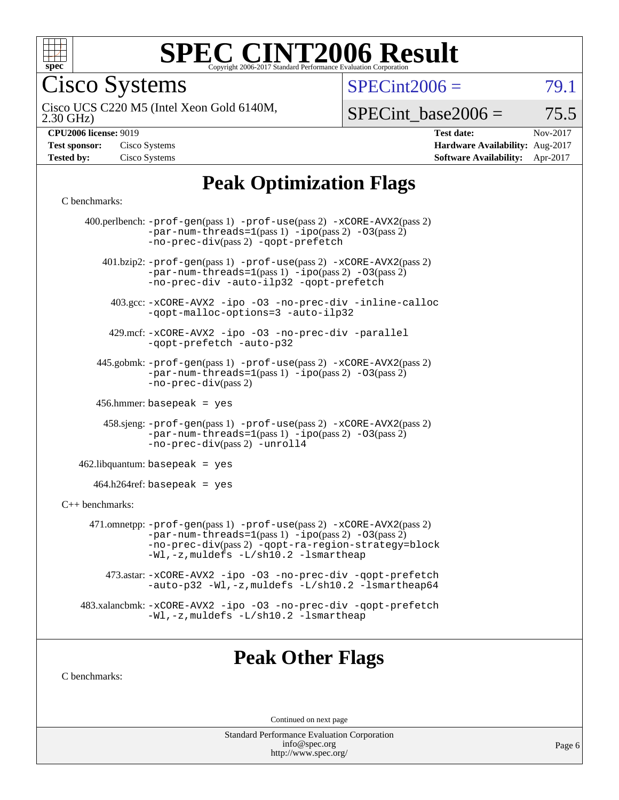

Cisco Systems

 $SPECint2006 = 79.1$  $SPECint2006 = 79.1$ 

2.30 GHz) Cisco UCS C220 M5 (Intel Xeon Gold 6140M,

 $SPECTnt\_base2006 = 75.5$ 

| <b>Test sponsor:</b> | Cisco Systems |
|----------------------|---------------|
| <b>Tested by:</b>    | Cisco Systems |

**[CPU2006 license:](http://www.spec.org/auto/cpu2006/Docs/result-fields.html#CPU2006license)** 9019 **[Test date:](http://www.spec.org/auto/cpu2006/Docs/result-fields.html#Testdate)** Nov-2017 **[Hardware Availability:](http://www.spec.org/auto/cpu2006/Docs/result-fields.html#HardwareAvailability)** Aug-2017 **[Software Availability:](http://www.spec.org/auto/cpu2006/Docs/result-fields.html#SoftwareAvailability)** Apr-2017

## **[Peak Optimization Flags](http://www.spec.org/auto/cpu2006/Docs/result-fields.html#PeakOptimizationFlags)**

#### [C benchmarks](http://www.spec.org/auto/cpu2006/Docs/result-fields.html#Cbenchmarks):

|                   | 400.perlbench: $-prof-gen(pass 1)$ $-prof-use(pass 2)$ $-xCORE-AVX2(pass 2)$<br>$-par-num-threads=1(pass 1) -ipo(pass 2) -03(pass 2)$<br>-no-prec-div(pass 2) -qopt-prefetch                                                  |
|-------------------|-------------------------------------------------------------------------------------------------------------------------------------------------------------------------------------------------------------------------------|
|                   | $401 \text{.}$ bzip2: -prof-gen(pass 1) -prof-use(pass 2) -xCORE-AVX2(pass 2)<br>$-par-num-threads=1(pass 1) -ipo(pass 2) -03(pass 2)$<br>-no-prec-div -auto-ilp32 -qopt-prefetch                                             |
|                   | 403.gcc: -xCORE-AVX2 -ipo -03 -no-prec-div -inline-calloc<br>-qopt-malloc-options=3 -auto-ilp32                                                                                                                               |
|                   | 429.mcf: -xCORE-AVX2 -ipo -03 -no-prec-div -parallel<br>-gopt-prefetch -auto-p32                                                                                                                                              |
|                   | 445.gobmk: -prof-gen(pass 1) -prof-use(pass 2) -xCORE-AVX2(pass 2)<br>$-par-num-threads=1(pass 1) -ipo(pass 2) -03(pass 2)$<br>$-no-prec-div(pass 2)$                                                                         |
|                   | 456.hmmer: basepeak = $yes$                                                                                                                                                                                                   |
|                   | 458.sjeng: -prof-gen(pass 1) -prof-use(pass 2) -xCORE-AVX2(pass 2)<br>$-par-num-threads=1(pass 1) -ipo(pass 2) -03(pass 2)$<br>-no-prec-div(pass 2) -unroll4                                                                  |
|                   | $462$ .libquantum: basepeak = yes                                                                                                                                                                                             |
|                   | $464.h264$ ref: basepeak = yes                                                                                                                                                                                                |
| $C++$ benchmarks: |                                                                                                                                                                                                                               |
|                   | 471.omnetpp: -prof-gen(pass 1) -prof-use(pass 2) -xCORE-AVX2(pass 2)<br>$-par-num-threads=1(pass 1) -ipo(pass 2) -03(pass 2)$<br>-no-prec-div(pass 2) -qopt-ra-region-strategy=block<br>-Wl,-z, muldefs -L/sh10.2 -lsmartheap |
|                   | 473.astar: -xCORE-AVX2 -ipo -03 -no-prec-div -qopt-prefetch<br>-auto-p32 -Wl,-z, muldefs -L/sh10.2 -lsmartheap64                                                                                                              |
|                   | 483.xalancbmk: -xCORE-AVX2 -ipo -03 -no-prec-div -qopt-prefetch<br>-Wl,-z, muldefs -L/sh10.2 -lsmartheap                                                                                                                      |
|                   |                                                                                                                                                                                                                               |

### **[Peak Other Flags](http://www.spec.org/auto/cpu2006/Docs/result-fields.html#PeakOtherFlags)**

[C benchmarks](http://www.spec.org/auto/cpu2006/Docs/result-fields.html#Cbenchmarks):

Continued on next page